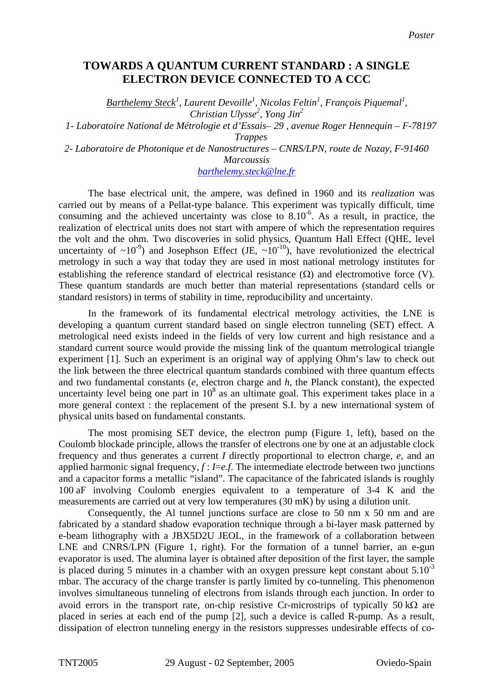# **TOWARDS A QUANTUM CURRENT STANDARD : A SINGLE ELECTRON DEVICE CONNECTED TO A CCC**

*Barthelemy Steck<sup>1</sup> , Laurent Devoille1 , Nicolas Feltin1 , François Piquemal<sup>1</sup> , Christian Ulysse<sup>2</sup> , Yong Jin<sup>2</sup>*

*1- Laboratoire National de Métrologie et d'Essais– 29 , avenue Roger Hennequin – F-78197* 

*Trappes* 

*2- Laboratoire de Photonique et de Nanostructures – CNRS/LPN, route de Nozay, F-91460* 

#### *Marcoussis*

# *[barthelemy.steck@lne.fr](mailto:barthelemy.steck@lne.fr)*

The base electrical unit, the ampere, was defined in 1960 and its *realization* was carried out by means of a Pellat-type balance. This experiment was typically difficult, time consuming and the achieved uncertainty was close to  $8.10^{-6}$ . As a result, in practice, the realization of electrical units does not start with ampere of which the representation requires the volt and the ohm. Two discoveries in solid physics, Quantum Hall Effect (QHE, level uncertainty of  $\sim 10^{-9}$ ) and Josephson Effect (JE,  $\sim 10^{-10}$ ), have revolutionized the electrical metrology in such a way that today they are used in most national metrology institutes for establishing the reference standard of electrical resistance  $(\Omega)$  and electromotive force (V). These quantum standards are much better than material representations (standard cells or standard resistors) in terms of stability in time, reproducibility and uncertainty.

In the framework of its fundamental electrical metrology activities, the LNE is developing a quantum current standard based on single electron tunneling (SET) effect. A metrological need exists indeed in the fields of very low current and high resistance and a standard current source would provide the missing link of the quantum metrological triangle experiment [1]. Such an experiment is an original way of applying Ohm's law to check out the link between the three electrical quantum standards combined with three quantum effects and two fundamental constants (*e*, electron charge and *h*, the Planck constant), the expected uncertainty level being one part in  $10^8$  as an ultimate goal. This experiment takes place in a more general context : the replacement of the present S.I. by a new international system of physical units based on fundamental constants.

The most promising SET device, the electron pump (Figure 1, left), based on the Coulomb blockade principle, allows the transfer of electrons one by one at an adjustable clock frequency and thus generates a current *I* directly proportional to electron charge, *e*, and an applied harmonic signal frequency,  $f: I = e.f$ . The intermediate electrode between two junctions and a capacitor forms a metallic "island". The capacitance of the fabricated islands is roughly 100 aF involving Coulomb energies equivalent to a temperature of 3-4 K and the measurements are carried out at very low temperatures (30 mK) by using a dilution unit.

Consequently, the Al tunnel junctions surface are close to 50 nm x 50 nm and are fabricated by a standard shadow evaporation technique through a bi-layer mask patterned by e-beam lithography with a JBX5D2U JEOL, in the framework of a collaboration between LNE and CNRS/LPN (Figure 1, right). For the formation of a tunnel barrier, an e-gun evaporator is used. The alumina layer is obtained after deposition of the first layer, the sample is placed during 5 minutes in a chamber with an oxygen pressure kept constant about  $5.10^{-3}$ mbar. The accuracy of the charge transfer is partly limited by co-tunneling. This phenomenon involves simultaneous tunneling of electrons from islands through each junction. In order to avoid errors in the transport rate, on-chip resistive Cr-microstrips of typically 50 k $\Omega$  are placed in series at each end of the pump [2], such a device is called R-pump. As a result, dissipation of electron tunneling energy in the resistors suppresses undesirable effects of co